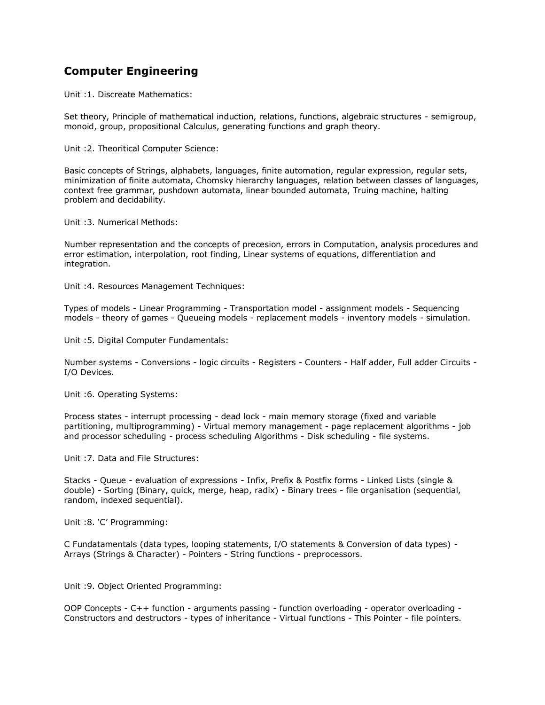## **[Computer Engineering](http://www.tnpsc.gov.in/Syllabus/cengg.htm)**

Unit :1. Discreate Mathematics:

Set theory, Principle of mathematical induction, relations, functions, algebraic structures - semigroup, monoid, group, propositional Calculus, generating functions and graph theory.

Unit :2. Theoritical Computer Science:

Basic concepts of Strings, alphabets, languages, finite automation, regular expression, regular sets, minimization of finite automata, Chomsky hierarchy languages, relation between classes of languages, context free grammar, pushdown automata, linear bounded automata, Truing machine, halting problem and decidability.

Unit :3. Numerical Methods:

Number representation and the concepts of precesion, errors in Computation, analysis procedures and error estimation, interpolation, root finding, Linear systems of equations, differentiation and integration.

Unit :4. Resources Management Techniques:

Types of models - Linear Programming - Transportation model - assignment models - Sequencing models - theory of games - Queueing models - replacement models - inventory models - simulation.

Unit :5. Digital Computer Fundamentals:

Number systems - Conversions - logic circuits - Registers - Counters - Half adder, Full adder Circuits - I/O Devices.

Unit :6. Operating Systems:

Process states - interrupt processing - dead lock - main memory storage (fixed and variable partitioning, multiprogramming) - Virtual memory management - page replacement algorithms - job and processor scheduling - process scheduling Algorithms - Disk scheduling - file systems.

Unit :7. Data and File Structures:

Stacks - Queue - evaluation of expressions - Infix, Prefix & Postfix forms - Linked Lists (single & double) - Sorting (Binary, quick, merge, heap, radix) - Binary trees - file organisation (sequential, random, indexed sequential).

Unit :8. 'C' Programming:

C Fundatamentals (data types, looping statements, I/O statements & Conversion of data types) - Arrays (Strings & Character) - Pointers - String functions - preprocessors.

Unit :9. Object Oriented Programming:

OOP Concepts - C++ function - arguments passing - function overloading - operator overloading - Constructors and destructors - types of inheritance - Virtual functions - This Pointer - file pointers.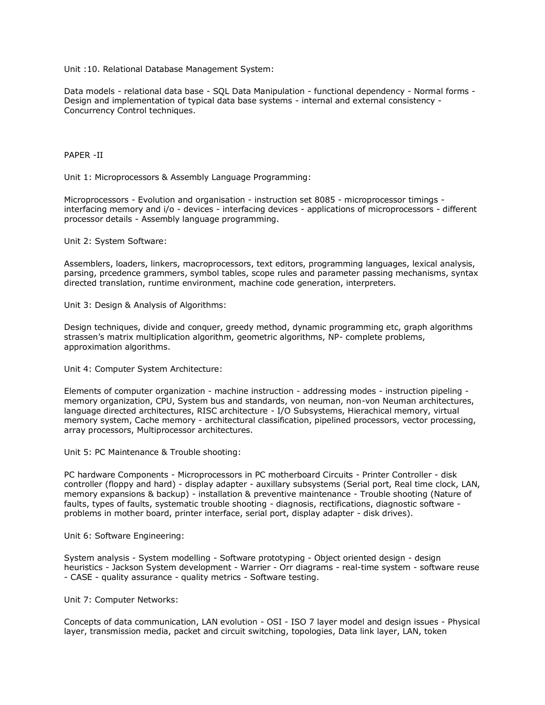Unit :10. Relational Database Management System:

Data models - relational data base - SQL Data Manipulation - functional dependency - Normal forms - Design and implementation of typical data base systems - internal and external consistency - Concurrency Control techniques.

## PAPER -II

Unit 1: Microprocessors & Assembly Language Programming:

Microprocessors - Evolution and organisation - instruction set 8085 - microprocessor timings interfacing memory and i/o - devices - interfacing devices - applications of microprocessors - different processor details - Assembly language programming.

Unit 2: System Software:

Assemblers, loaders, linkers, macroprocessors, text editors, programming languages, lexical analysis, parsing, prcedence grammers, symbol tables, scope rules and parameter passing mechanisms, syntax directed translation, runtime environment, machine code generation, interpreters.

Unit 3: Design & Analysis of Algorithms:

Design techniques, divide and conquer, greedy method, dynamic programming etc, graph algorithms strassen's matrix multiplication algorithm, geometric algorithms, NP- complete problems, approximation algorithms.

Unit 4: Computer System Architecture:

Elements of computer organization - machine instruction - addressing modes - instruction pipeling memory organization, CPU, System bus and standards, von neuman, non-von Neuman architectures, language directed architectures, RISC architecture - I/O Subsystems, Hierachical memory, virtual memory system, Cache memory - architectural classification, pipelined processors, vector processing, array processors, Multiprocessor architectures.

Unit 5: PC Maintenance & Trouble shooting:

PC hardware Components - Microprocessors in PC motherboard Circuits - Printer Controller - disk controller (floppy and hard) - display adapter - auxillary subsystems (Serial port, Real time clock, LAN, memory expansions & backup) - installation & preventive maintenance - Trouble shooting (Nature of faults, types of faults, systematic trouble shooting - diagnosis, rectifications, diagnostic software problems in mother board, printer interface, serial port, display adapter - disk drives).

Unit 6: Software Engineering:

System analysis - System modelling - Software prototyping - Object oriented design - design heuristics - Jackson System development - Warrier - Orr diagrams - real-time system - software reuse - CASE - quality assurance - quality metrics - Software testing.

Unit 7: Computer Networks:

Concepts of data communication, LAN evolution - OSI - ISO 7 layer model and design issues - Physical layer, transmission media, packet and circuit switching, topologies, Data link layer, LAN, token